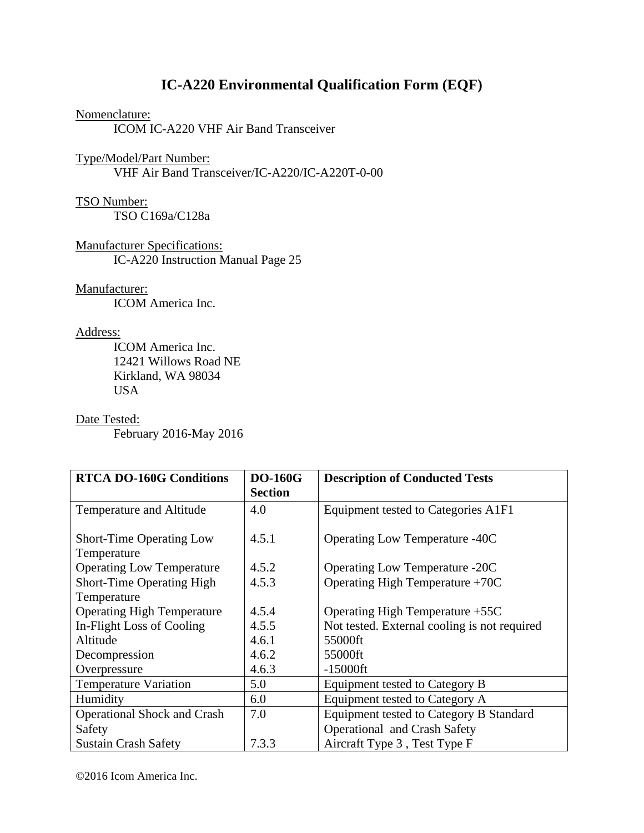# **IC-A220 Environmental Qualification Form (EQF)**

#### Nomenclature:

ICOM IC-A220 VHF Air Band Transceiver

## Type/Model/Part Number: VHF Air Band Transceiver/IC-A220/IC-A220T-0-00

## TSO Number:

TSO C169a/C128a

Manufacturer Specifications: IC-A220 Instruction Manual Page 25

Manufacturer:

ICOM America Inc.

### Address:

 ICOM America Inc. 12421 Willows Road NE Kirkland, WA 98034 USA

#### Date Tested:

February 2016-May 2016

| <b>RTCA DO-160G Conditions</b>                 | <b>DO-160G</b><br><b>Section</b> | <b>Description of Conducted Tests</b>          |
|------------------------------------------------|----------------------------------|------------------------------------------------|
| Temperature and Altitude                       | 4.0                              | Equipment tested to Categories A1F1            |
| <b>Short-Time Operating Low</b><br>Temperature | 4.5.1                            | <b>Operating Low Temperature -40C</b>          |
| <b>Operating Low Temperature</b>               | 4.5.2                            | <b>Operating Low Temperature -20C</b>          |
| Short-Time Operating High                      | 4.5.3                            | Operating High Temperature $+70C$              |
| Temperature                                    |                                  |                                                |
| <b>Operating High Temperature</b>              | 4.5.4                            | Operating High Temperature +55C                |
| In-Flight Loss of Cooling                      | 4.5.5                            | Not tested. External cooling is not required   |
| Altitude                                       | 4.6.1                            | 55000ft                                        |
| Decompression                                  | 4.6.2                            | 55000ft                                        |
| Overpressure                                   | 4.6.3                            | $-15000$ ft                                    |
| <b>Temperature Variation</b>                   | 5.0                              | Equipment tested to Category B                 |
| Humidity                                       | 6.0                              | Equipment tested to Category A                 |
| <b>Operational Shock and Crash</b>             | 7.0                              | <b>Equipment tested to Category B Standard</b> |
| Safety                                         |                                  | Operational and Crash Safety                   |
| <b>Sustain Crash Safety</b>                    | 7.3.3                            | Aircraft Type 3, Test Type F                   |

©2016 Icom America Inc.